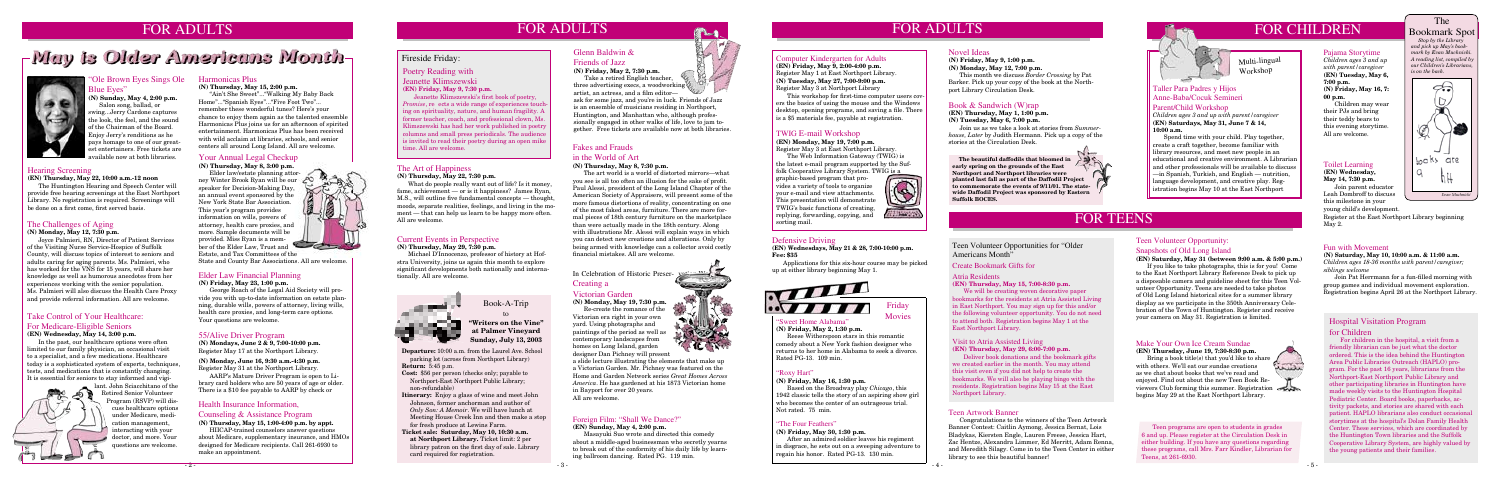## FOR ADULTS FOR ADULTS

# -May is Older Americans Month-



#### Ole Brown Eyes Sings Ole lue Eyes"

#### Health Insurance Information,

#### Counseling & Assistance Program

**(N) Thursday, May 15, 1:00-4:00 p.m. by appt.**

HIICAP-trained counselors answer questions about Medicare, supplementary insurance, and HMOs designed for Medicare recipients. Call 261-6930 to make an appointment.

## FOR ADULTS FOR CHILDREN The





 *Stop by the Library and pick up May's bookmark by Evan Muchnicki. A reading list, compiled by our Children's Librarians, is on the back.*



#### 55/Alive Driver Program

**(N) Mondays, June 2 & 9, 7:00-10:00 p.m.** Register May 17 at the Northport Library.

Bring a book title(s) that you'd like to share with others. We'll eat our sundae creations as we chat about books that we've read and enjoyed. Find out about the new Teen Book Reviewers Club forming this summer. Registration begins May 29 at the East Northport Library.



**(N) Monday, June 16, 9:30 a.m.-4:30 p.m.** Register May 31 at the Northport Library.

AARP's Mature Driver Program is open to Library card holders who are 50 years of age or older. There is a \$10 fee payable to AARP by check or

Teen Volunteer Opportunities for "Older Americans Month"

#### Make Your Own Ice Cream Sundae

**(EN) Thursday, June 19, 7:30-8:30 p.m.**



#### Poetry Reading with

#### Jeanette Klimszewski **(EN) Friday, May 9, 7:30 p.m.**

Friday **Movies** 

 Jeanette Klimszewski's first book of poetry, *Promise*, reects a wide range of experiences touch ing on spirituality, nature, and human fragility. A former teacher, coach, and professional clown, Ms. Klimszewski has had her work published in poetry columns and small press periodicals. The audience is invited to read their poetry during an open mike time. All are welcome.

three advertising execs, a woodworking artist, an actress, and a film editor—

> Teen programs are open to students in grades 6 and up. Please register at the Circulation Desk in either building. If you have any questions regarding these programs, call Mrs. Farr Kindler, Librarian for Teens, at 261-6930.

#### Pajama Storytime

#### Foreign Film: "Shall We Dance?"

#### **(EN) Sunday, May 4, 2:00 p.m.**

 Masayuki Suo wrote and directed this comedy about a middle-aged businessman who secretly yearns to break out of the conformity of his daily life by learning ballroom dancing. Rated PG. 119 min.



Ru

*Children ages 3 and up with parent/caregiver* **(EN) Tuesday, May 6, 7:00 p.m. (N) Friday, May 16, 7: 00 p.m.**

 Children may wear their PJs and bring their teddy bears to this evening storytime. All are welcome.

#### Fun with Movement

**(N) Saturday, May 10, 10:00 a.m. & 11:00 a.m.** *Children ages 18-36 months with parent/caregiver; siblings welcome*

 Join Pat Herrmann for a fun-filled morning with group games and individual movement exploration. Registration begins April 26 at the Northport Library.

#### "Sweet Home Alabama" **(N) Friday, May 2, 1:30 p.m.**

Reese Witherspoon stars in this romantic comedy about a New York fashion designer who returns to her home in Alabama to seek a divorce. Rated PG-13. 109 min.

#### "Roxy Hart"

#### **(N) Friday, May 16, 1:30 p.m.**

Based on the Broadway play *Chicago*, this 1942 classic tells the story of an aspiring show girl who becomes the center of an outrageous trial. Not rated. 75 min.

#### Glenn Baldwin & Friends of Jazz

**(N) Friday, May 2, 7:30 p.m.** Take a retired English teacher,

What do people really want out of life? Is it money, fame, achievement — or is it happiness? James Ryan, M.S., will outline five fundamental concepts — thought, moods, separate realities, feelings, and living in the moment — that can help us learn to be happy more often. All are welcome.

ask for some jazz, and you're in luck. Friends of Jazz is an ensemble of musicians residing in Northport, Huntington, and Manhattan who, although professionally engaged in other walks of life, love to jam together. Free tickets are available now at both libraries.

**(N) Sunday, May 4, 2:00 p.m.** Salon song, ballad, or swing...Jerry Cardone captures the look, the feel, and the sound of the Chairman of the Board. Enjoy Jerry's renditions as he pays homage to one of our greatest entertainers. Free tickets are available now at both libraries.

#### Take Control of Your Healthcare: For Medicare-Eligible Seniors **(EN) Wednesday, May 14, 3:00 p.m.**

 In the past, our healthcare options were often limited to our family physician, an occasional visit to a specialist, and a few medications. Healthcare today is a sophisticated system of experts, techniques, tests, and medications that is constantly changing. It is essential for seniors to stay informed and vigi-



lant. John Sciacchitano of the Retired Senior Volunteer Program (RSVP) will discuss healthcare options under Medicare, medication management, interacting with your doctor, and more. Your questions are welcome.

#### Computer Kindergarten for Adults

**(EN) Friday, May 9, 2:00-4:00 p.m.** Register May 1 at East Northport Library. **(N) Tuesday, May 27, 7:00-9:00 p.m.** Register May 3 at Northport Library

#### In Celebration of Historic Preser-Creating a

This workshop for first-time computer users covers the basics of using the mouse and the Windows desktop, opening programs, and saving a file. There is a \$5 materials fee, payable at registration.

#### TWIG E-mail Workshop

### **(EN) Monday, May 19, 7:00 p.m.**

Register May 3 at East Northport Library. The Web Information Gateway (TWIG) is

the latest e-mail program supported by the Suffolk Cooperative Library System. TWIG is a

graphic-based program that provides a variety of tools to organize your e-mail and view attachments. This presentation will demonstrate TWIG's basic functions of creating, replying, forwarding, copying, and sorting mail.



### Elder Law Financial Planning

#### **(N) Friday, May 23, 1:00 p.m.**

George Roach of the Legal Aid Society will provide you with up-to-date information on estate planning, durable wills, powers of attorney, living wills, health care proxies, and long-term care options. Your questions are welcome.

Elder law/estate planning attorney Winter Brook Ryan will be our speaker for Decision-Making Day, an annual event sponsored by the New York State Bar Association. This year's program provides information on wills, powers of attorney, health care proxies, and more. Sample documents will be provided. Miss Ryan is a member of the Elder Law, Trust and

#### Hearing Screening

#### **(EN) Thursday, May 22, 10:00 a.m.-12 noon**

 The Huntington Hearing and Speech Center will provide free hearing screenings at the East Northport Library. No registration is required. Screenings will be done on a first come, first served basis.

#### The Challenges of Aging

#### **(N) Monday, May 12, 7:30 p.m.**

 Joyce Palmieri, RN, Director of Patient Services of the Visiting Nurse Service-Hospice of Suffolk County, will discuss topics of interest to seniors and adults caring for aging parents. Ms. Palmieri, who has worked for the VNS for 15 years, will share her knowledge as well as humorous anecdotes from her experiences working with the senior population. Ms. Palmieri will also discuss the Health Care Proxy and provide referral information. All are welcome.

#### The Art of Happiness

#### **(N) Thursday, May 22, 7:30 p.m.**

#### Visit to Atria Assisted Living

**(EN) Thursday, May 29, 6:00-7:00 p.m.**

 Deliver book donations and the bookmark gifts we created earlier in the month. You may attend this visit even if you did not help to create the bookmarks. We will also be playing bingo with the residents. Registration begins May 15 at the East Northport Library.

### Teen Volunteer Opportunity:

#### Snapshots of Old Long Island

**(EN) Saturday, May 31 (between 9:00 a.m. & 5:00 p.m.)**

 If you like to take photographs, this is for you! Come to the East Northport Library Reference Desk to pick up a disposable camera and guideline sheet for this Teen Volunteer Opportunity. Teens are needed to take photos of Old Long Island historical sites for a summer library display as we participate in the 350th Anniversary Celebration of the Town of Huntington. Register and receive your camera on May 31. Registration is limited.

#### Toilet Learning

**(EN) Wednesday, May 14, 7:30 p.m.** Join parent educator

Leah Dombroff to discuss this milestone in your young child's development.

#### Taller Para Padres y Hijos Anne-Baba/Cocuk Semineri

#### Parent/Child Workshop

*Children ages 3 and up with parent/caregiver* **(EN) Saturdays, May 31, June 7 & 14, 10:00 a.m.**

 Spend time with your child. Play together, create a craft together, become familiar with library resources, and meet new people in an educational and creative environment. A Librarian and other professionals will be available to discuss —in Spanish, Turkish, and English — nutrition, language development, and creative play. Registration begins May 10 at the East Northport

**Departure:** 10:00 a.m. from the Laurel Ave. School parking lot (across from Northport Library) **Return:** 5:45 p.m.

- **Cost:** \$56 per person (checks only; payable to Northport-East Northport Public Library; non-refundable)
- **Itinerary:** Enjoy a glass of wine and meet John Johnson, former anchorman and author of  *Only Son: A Memoir*. We will have lunch at Meeting House Creek Inn and then make a stop for fresh produce at Lewins Farm.
- **Ticket sale: Saturday, May 10, 10:30 a.m. at Northport Library.** Ticket limit: 2 per library patron on the first day of sale. Library card required for registration.



Book-A-Trip

to **"Writers on the Vine" at Palmer Vineyard Sunday, July 13, 2003**

#### Current Events in Perspective

#### **(N) Thursday, May 29, 7:30 p.m.**

 Michael D'Innocenzo, professor of history at Hofstra University, joins us again this month to explore significant developments both nationally and internationally. All are welcome.



## FOR TEENS

Victorian Garden

**(N) Monday, May 19, 7:30 p.m.**

Re-create the romance of the Victorian era right in your own yard. Using photographs and paintings of the period as well as contemporary landscapes from homes on Long Island, garden designer Dan Pichney will present

a slide lecture illustrating the elements that make up a Victorian Garden. Mr. Pichney was featured on the Home and Garden Network series *Great Homes Across America*. He has gardened at his 1873 Victorian home in Bayport for over 20 years. All are welcome.

### Fakes and Frauds

#### in the World of Art

**(N) Thursday, May 8, 7:30 p.m.**

The art world is a world of distorted mirrors—what you see is all too often an illusion for the sake of profit. Paul Alessi, president of the Long Island Chapter of the American Society of Appraisers, will present some of the more famous distortions of reality, concentrating on one of the most faked areas, furniture. There are more formal pieces of 18th century furniture on the marketplace than were actually made in the 18th century. Along with illustrations Mr. Alessi will explain ways in which you can detect new creations and alterations. Only by being armed with knowledge can a collector avoid costly financial mistakes. All are welcome.

#### Harmonicas Plus

#### **(N) Thursday, May 15, 2:00 p.m.**

 "Ain't She Sweet"..."Walking My Baby Back Home"..."Spanish Eyes"..."Five Foot Two"... remember these wonderful tunes? Here's your chance to enjoy them again as the talented ensemble Harmonicas Plus joins us for an afternoon of spirited entertainment. Harmonicas Plus has been received with wild acclaim at libraries, schools, and senior centers all around Long Island. All are welcome.

#### Your Annual Legal Checkup

**(N) Thursday, May 8, 3:00 p.m.**

Estate, and Tax Committees of the State and County Bar Associations. All are welcome.

#### Teen Artwork Banner

 Congratulations to the winners of the Teen Artwork Banner Contest: Caitlin Aymong, Jessica Bernat, Lois Bladykas, Kiersten Engle, Lauren Freese, Jessica Hart, Zac Hentze, Alexandra Limmer, Ed Merritt, Adam Renna, and Meredith Silagy. Come in to the Teen Center in either library to see this beautiful banner!

#### Create Bookmark Gifts for

#### Atria Residents

**(EN) Thursday, May 15, 7:00-8:30 p.m.**

 We will be creating woven decorative paper bookmarks for the residents at Atria Assisted Living in East Northport. You may sign up for this and/or the following volunteer opportunity. You do not need to attend both. Registration begins May 1 at the East Northport Library.

#### "The Four Feathers"

#### **(N) Friday, May 30, 1:30 p.m.**

After an admired soldier leaves his regiment in disgrace, he sets out on a sweeping adventure to regain his honor. Rated PG-13. 130 min.

#### Defensive Driving

**(EN) Wednesdays, May 21 & 28, 7:00-10:00 p.m. Fee: \$35** 

 Applications for this six-hour course may be picked up at either library beginning May 1.



Register at the East Northport Library beginning May 2.

#### Hospital Visitation Program for Children

 For children in the hospital, a visit from a friendly librarian can be just what the doctor ordered. This is the idea behind the Huntington Area Public Libraries Outreach (HAPLO) program. For the past 16 years, librarians from the Northport-East Northport Public Library and other participating libraries in Huntington have made weekly visits to the Huntington Hospital Pediatric Center. Board books, paperbacks, activity packets, and stories are shared with each patient. HAPLO librarians also conduct occasional storytimes at the hospital's Dolan Family Health Center. These services, which are coordinated by the Huntington Town libraries and the Suffolk Cooperative Library System, are highly valued by the young patients and their families.

#### Novel Ideas

**(N) Friday, May 9, 1:00 p.m.**

**(N) Monday, May 12, 7:00 p.m.**

 This month we discuss *Border Crossing* by Pat Barker. Pick up your copy of the book at the Northport Library Circulation Desk.

#### Book & Sandwich (W)rap

**(EN) Thursday, May 1, 1:00 p.m. (N) Tuesday, May 6, 7:00 p.m.**

Join us as we take a look at stories from *Summerhouse, Later* by Judith Hermann. Pick up a copy of the stories at the Circulation Desk.

Multi-lingual Workshop

 **The beautiful daffodils that bloomed in early spring on the grounds of the East Northport and Northport libraries were planted last fall as part of the Daffodil Project to commemorate the events of 9/11/01. The statewide Daffodil Project was sponsored by Eastern Suffolk BOCES.**